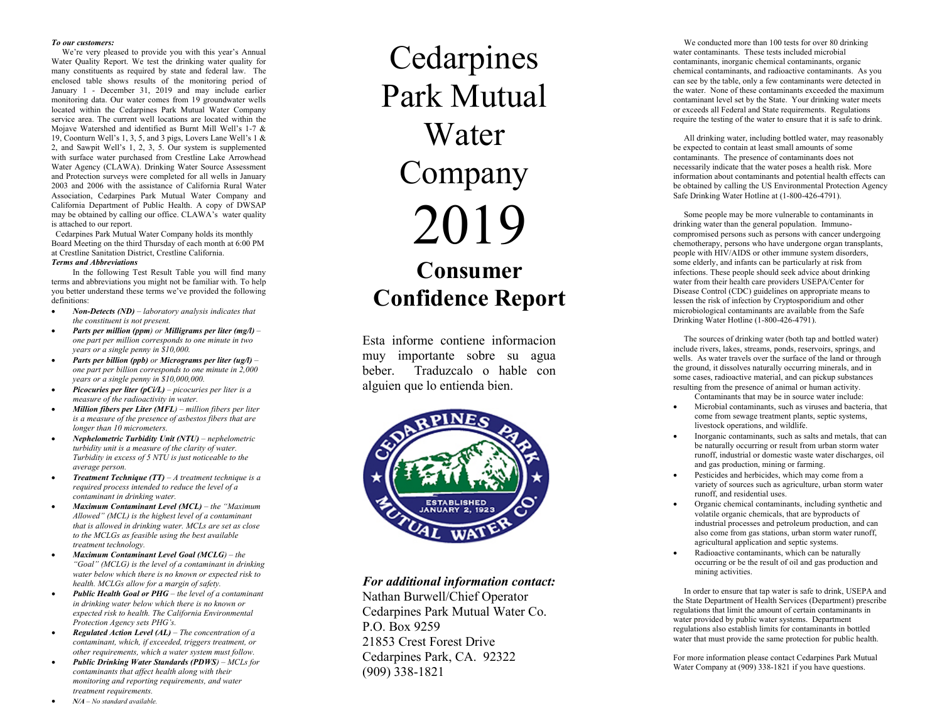#### *To our customers:*

We're very pleased to provide you with this year's Annual Water Quality Report. We test the drinking water quality for many constituents as required by state and federal law . The enclosed table shows results of the monitoring period of January 1 - December 31, 2019 and may include earlier monitoring data . Our water comes from 19 groundwater wells located within the Cedarpines Park Mutual Water Company service area. The current well locations are located within the Mojave Watershed and identified as Burnt Mill Well's 1 -7 & 19, Coonturn Well's 1, 3, 5, and 3 pigs, Lovers Lane Well's 1 & 2, and Sawpit Well's 1, 2, 3, 5. Our system is supplemented with surface water purchased from Crestline Lake Arrowhead Water Agency (CLAWA). Drinking Water Source Assessment and Protection surveys were completed for all wells in January 2003 and 2006 with the assistance of California Rural Water Association, Cedarpines Park Mutual Water Company and California Department of Public Health. A copy of DWSAP may be obtained by calling our office. CLAWA's water quality is attached to our report.

 Cedarpines Park Mutual Water Company holds its monthly Board Meeting on the third Thursday of each month at 6:00 PM at Crestline Sanitation District, Crestline California .

### *Terms and Abbreviations*

In the following Test Result Table you will find many terms and abbreviations you might not be familiar with. To help you better understand these terms we've provided the following definitions:

- *Non-Detects (ND) – laboratory analysis indicates that the constituent is not present.*
- *Parts per million (ppm) or Milligrams per liter (mg/l) – one part per million corresponds to one minute in two years or a single penny in \$10,000.*
- *Parts per billion (ppb) or Micrograms per liter (ug/l) – one part per billion corresponds to one minute in 2,000 years or a single penny in \$10,000,000.*
- *Picocuries per liter (pCi/L) – picocuries per liter is a measure of the radioactivity in water.*
- *Million fibers per Liter (MFL) – million fibers per liter is a measure of the presence of asbestos fibers that are longer than 10 micrometers.*
- *Nephelometric Turbidity Unit (NTU) – nephelometric turbidity unit is a measure of the clarity of water. Turbidity in excess of 5 NTU is just noticeable to the average person.*
- *Treatment Technique (TT) – A treatment technique is a required process intended to reduce the level of a contaminant in drinking water.*
- *Maximum Contaminant Level (MCL) – the "Maximum Allowed" (MCL) is the highest level of a contaminant that is allowed in drinking water. MCLs are set as close to the MCLGs as feasible using the best available treatment technology.*
- *Maximum Contaminant Level Goal (MCLG) – the "Goal" (MCLG) is the level of a contaminant in drinking water below which there is no known or expected risk to health. MCLGs allow for a margin of safety.*
- *Public Health Goal or PHG – the level of a contaminant in drinking water below which there is no known or expected risk to health. The California Environmental Protection Agency sets PHG 's.*
- *Regulated Action Level (AL) – The concentration of a contaminant, which, if exceeded, triggers treatment, or other requirements, which a water system must follow.*
- *Public Drinking Water Standards (PDWS) – MCLs for contaminants that affect health along with their monitoring and reporting requirements, and water treatment requirements.*

# Cedarpines Park Mutual Water Company 20 1 9 **Consumer Confidence Report**

Esta informe contiene informacion muy importante sobre su agua beber. Traduzcalo o hable con alguien que lo entien da bien.



## *For additional information contact:*

Nathan Burwell/Chief Operator Cedarpines Park Mutual Water Co. P.O. Box 9259 21853 Crest Forest Drive Cedarpines Park, CA. 92322 (909) 3 3 8 -1821

We conducted more than 100 tests for over 80 drinking water contaminants. These tests included microbial contaminants, inorganic chemical contaminants, organic chemical contaminants, and radioactive contaminants. As you can see by the table, only a few contaminants were detected in the water. None of these contaminants exceeded the maximum contaminant level set by the State. Your drinking water meets or exceeds all Federal and State requirements. Regulations require the testing of the water to ensure that it is safe to drink.

All drinking water, including bottled water, may reasonably be expected to contain at least small amounts of some contaminants. The presence of contaminants does not necessarily indicate that the water poses a health risk. More information about contaminants and potential health effects can be obtained by calling the US Environmental Protection Agency Safe Drinking Water Hotline at (1-800-426-4791).

Some people may be more vulnerable to contaminants in drinking water than the general population. Immuno compromised persons such as persons with cancer undergoing chemotherapy, persons who have undergone organ transplants, people with HIV/AIDS or other immune system disorders, some elderly, and infants can be particularly at risk from infections. These people should seek advice about drinking water from their health care providers USEPA/Center for Disease Control (CDC ) guidelines on appropriate means to lessen the risk of infection by Cryptosporidium and other microbiological contaminants are available from the Safe Drinking Water Hotline (1 -800 -426 -4791).

The sources of drinking water (both tap and bottled water) include rivers, lakes, streams, ponds, reservoirs, springs, and wells. As water travels over the surface of the land or through the ground, it dissolves naturally occurring minerals, and in some cases, radioactive material, and can pickup substances resulting from the presence of animal or human activity. Contaminants that may be in source water include:

- Microbial contaminants, such as viruses and bacteria, that come from sewage treatment plants, septic systems, livestock operations, and wildlife.
- Inorganic contaminants, such as salts and metals, that can be naturally occurring or result from urban storm water runoff, industrial or domestic waste water discharges, oil and gas production, mining or farming.
- Pesticides and herbicides, which may come from a variety of sources such as agriculture, urban storm water runoff, and residential uses.
- Organic chemical contaminants, including synthetic and volatile organic chemicals, that are byproducts of industrial processes and petroleum production, and can also come from gas stations, urban storm water runoff, agricultural application and septic systems.
- Radioactive contaminants, which can be naturally occurring or be the result of oil and gas production and mining activities.

In order to ensure that tap water is safe to drink, USEPA and the State Department of Health Services (Department) prescribe regulations that limit the amount of certain contaminants in water provided by public water systems. Department regulations also establish limits for contaminants in bottled water that must provide the same protection for public health.

For more information please contact Cedarpines Park Mutual Water Company at (909) 338 -1821 if you have questions.

• *N/A – No standard available.*